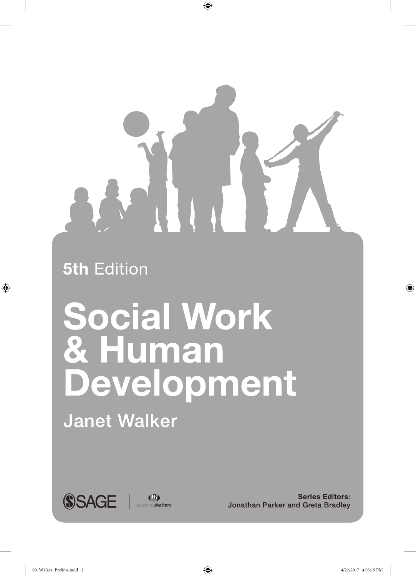**5th Edition** 

⊕

# **Social Work** & Human Development

 $\bigoplus$ 

**Janet Walker** 

SSAGE | **D** 

**Series Editors:** Jonathan Parker and Greta Bradley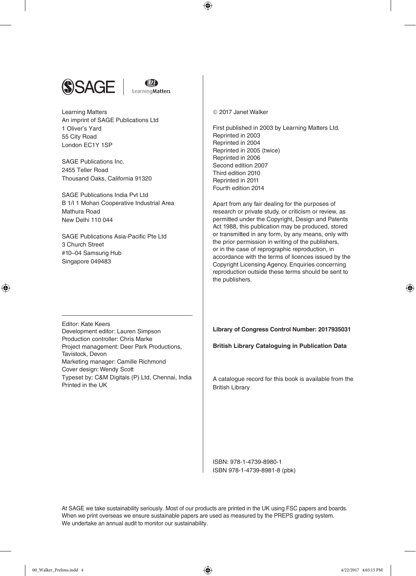



Learning Matters An imprint of SAGE Publications Ltd 1 Oliver's Yard 55 City Road London EC1Y 1SP

SAGE Publications Inc. 2455 Teller Road Thousand Oaks, California 91320

SAGE Publications India Pvt Ltd B 1/I 1 Mohan Cooperative Industrial Area Mathura Road New Delhi 110 044

SAGE Publications Asia-Pacific Pte Ltd 3 Church Street #10–04 Samsung Hub Singapore 049483

2017 Janet Walker

 $\bm \Theta$ 

First published in 2003 by Learning Matters Ltd. Reprinted in 2003 Reprinted in 2004 Reprinted in 2005 (twice) Reprinted in 2006 Second edition 2007 Third edition 2010 Reprinted in 2011 Fourth edition 2014

Apart from any fair dealing for the purposes of research or private study, or criticism or review, as permitted under the Copyright, Design and Patents Act 1988, this publication may be produced, stored or transmitted in any form, by any means, only with the prior permission in writing of the publishers, or in the case of reprographic reproduction, in accordance with the terms of licences issued by the Copyright Licensing Agency. Enquiries concerning reproduction outside these terms should be sent to the publishers.

Editor: Kate Keers Development editor: Lauren Simpson Production controller: Chris Marke Project management: Deer Park Productions, Tavistock, Devon Marketing manager: Camille Richmond Cover design: Wendy Scott Typeset by: C&M Digitals (P) Ltd, Chennai, India Printed in the UK

**Library of Congress Control Number: 2017935031**

**British Library Cataloguing in Publication Data**

A catalogue record for this book is available from the British Library

ISBN: 978-1-4739-8980-1 ISBN 978-1-4739-8981-8 (pbk)

At SAGE we take sustainability seriously. Most of our products are printed in the UK using FSC papers and boards. When we print overseas we ensure sustainable papers are used as measured by the PREPS grading system. We undertake an annual audit to monitor our sustainability.

⊕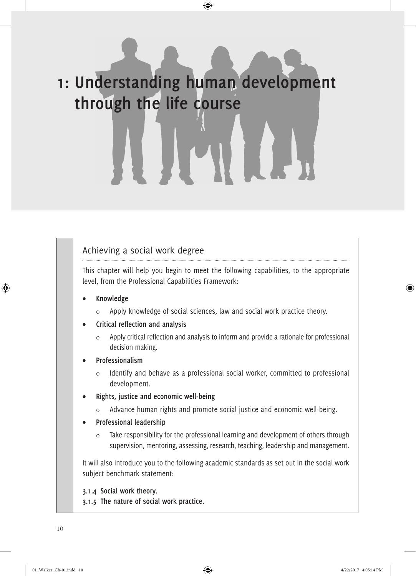⊕

#### Achieving a social work degree

This chapter will help you begin to meet the following capabilities, to the appropriate level, from the Professional Capabilities Framework:

• **Knowledge**

⊕

- $\circ$  Apply knowledge of social sciences, law and social work practice theory.
- **Critical reflection and analysis**
	- $\circ$  Apply critical reflection and analysis to inform and provide a rationale for professional decision making.
- **Professionalism**
	- { Identify and behave as a professional social worker, committed to professional development.
- **Rights, justice and economic well-being**
	- $\circ$  Advance human rights and promote social justice and economic well-being.
- **Professional leadership**
	- $\circ$  Take responsibility for the professional learning and development of others through supervision, mentoring, assessing, research, teaching, leadership and management.

It will also introduce you to the following academic standards as set out in the social work subject benchmark statement:

**3.1.4 Social work theory.**

**3.1.5 The nature of social work practice.**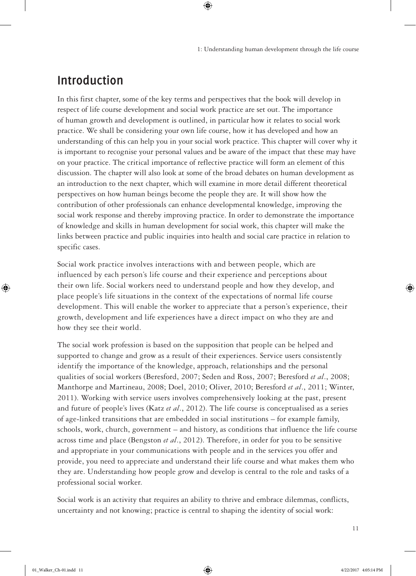## **Introduction**

In this first chapter, some of the key terms and perspectives that the book will develop in respect of life course development and social work practice are set out. The importance of human growth and development is outlined, in particular how it relates to social work practice. We shall be considering your own life course, how it has developed and how an understanding of this can help you in your social work practice. This chapter will cover why it is important to recognise your personal values and be aware of the impact that these may have on your practice. The critical importance of reflective practice will form an element of this discussion. The chapter will also look at some of the broad debates on human development as an introduction to the next chapter, which will examine in more detail different theoretical perspectives on how human beings become the people they are. It will show how the contribution of other professionals can enhance developmental knowledge, improving the social work response and thereby improving practice. In order to demonstrate the importance of knowledge and skills in human development for social work, this chapter will make the links between practice and public inquiries into health and social care practice in relation to specific cases.

 $\bigoplus$ 

Social work practice involves interactions with and between people, which are influenced by each person's life course and their experience and perceptions about their own life. Social workers need to understand people and how they develop, and place people's life situations in the context of the expectations of normal life course development. This will enable the worker to appreciate that a person's experience, their growth, development and life experiences have a direct impact on who they are and how they see their world.

The social work profession is based on the supposition that people can be helped and supported to change and grow as a result of their experiences. Service users consistently identify the importance of the knowledge, approach, relationships and the personal qualities of social workers (Beresford, 2007; Seden and Ross, 2007; Beresford *et al*., 2008; Manthorpe and Martineau, 2008; Doel, 2010; Oliver, 2010; Beresford *et al*., 2011; Winter, 2011). Working with service users involves comprehensively looking at the past, present and future of people's lives (Katz *et al*., 2012). The life course is conceptualised as a series of age-linked transitions that are embedded in social institutions – for example family, schools, work, church, government – and history, as conditions that influence the life course across time and place (Bengston *et al*., 2012). Therefore, in order for you to be sensitive and appropriate in your communications with people and in the services you offer and provide, you need to appreciate and understand their life course and what makes them who they are. Understanding how people grow and develop is central to the role and tasks of a professional social worker.

Social work is an activity that requires an ability to thrive and embrace dilemmas, conflicts, uncertainty and not knowing; practice is central to shaping the identity of social work:

⊕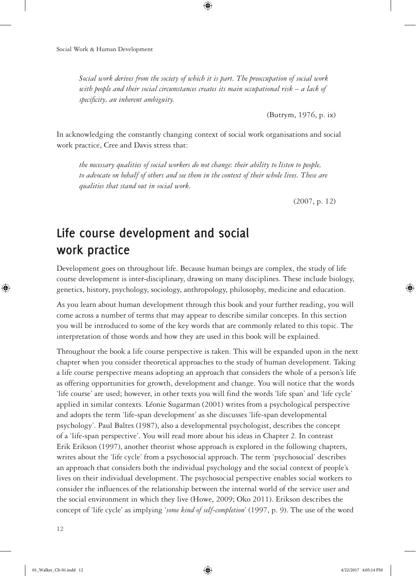*Social work derives from the society of which it is part. The preoccupation of social work with people and their social circumstances creates its main occupational risk – a lack of specificity, an inherent ambiguity.*

 $\circledast$ 

(Butrym, 1976, p. ix)

In acknowledging the constantly changing context of social work organisations and social work practice, Cree and Davis stress that:

*the necessary qualities of social workers do not change: their ability to listen to people,*  to advocate on behalf of others and see them in the context of their whole lives. These are *qualities that stand out in social work.*

(2007, p. 12)

# **Life course development and social work practice**

Development goes on throughout life. Because human beings are complex, the study of life course development is inter-disciplinary, drawing on many disciplines. These include biology, genetics, history, psychology, sociology, anthropology, philosophy, medicine and education.

As you learn about human development through this book and your further reading, you will come across a number of terms that may appear to describe similar concepts. In this section you will be introduced to some of the key words that are commonly related to this topic. The interpretation of those words and how they are used in this book will be explained.

Throughout the book a life course perspective is taken. This will be expanded upon in the next chapter when you consider theoretical approaches to the study of human development. Taking a life course perspective means adopting an approach that considers the whole of a person's life as offering opportunities for growth, development and change. You will notice that the words 'life course' are used; however, in other texts you will find the words 'life span' and 'life cycle' applied in similar contexts. Léonie Sugarman (2001) writes from a psychological perspective and adopts the term 'life-span development' as she discusses 'life-span developmental psychology'. Paul Baltes (1987), also a developmental psychologist, describes the concept of a 'life-span perspective'. You will read more about his ideas in Chapter 2. In contrast Erik Erikson (1997), another theorist whose approach is explored in the following chapters, writes about the 'life cycle' from a psychosocial approach. The term 'psychosocial' describes an approach that considers both the individual psychology and the social context of people's lives on their individual development. The psychosocial perspective enables social workers to consider the influences of the relationship between the internal world of the service user and the social environment in which they live (Howe, 2009; Oko 2011). Erikson describes the concept of 'life cycle' as implying '*some kind of self-completion*' (1997, p. 9). The use of the word

⊕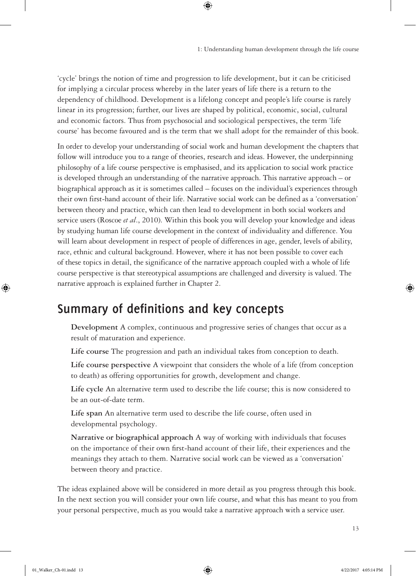'cycle' brings the notion of time and progression to life development, but it can be criticised for implying a circular process whereby in the later years of life there is a return to the dependency of childhood. Development is a lifelong concept and people's life course is rarely linear in its progression; further, our lives are shaped by political, economic, social, cultural and economic factors. Thus from psychosocial and sociological perspectives, the term 'life course' has become favoured and is the term that we shall adopt for the remainder of this book.

 $\bigoplus$ 

In order to develop your understanding of social work and human development the chapters that follow will introduce you to a range of theories, research and ideas. However, the underpinning philosophy of a life course perspective is emphasised, and its application to social work practice is developed through an understanding of the narrative approach. This narrative approach – or biographical approach as it is sometimes called – focuses on the individual's experiences through their own first-hand account of their life. Narrative social work can be defined as a 'conversation' between theory and practice, which can then lead to development in both social workers and service users (Roscoe *et al*., 2010). Within this book you will develop your knowledge and ideas by studying human life course development in the context of individuality and difference. You will learn about development in respect of people of differences in age, gender, levels of ability, race, ethnic and cultural background. However, where it has not been possible to cover each of these topics in detail, the significance of the narrative approach coupled with a whole of life course perspective is that stereotypical assumptions are challenged and diversity is valued. The narrative approach is explained further in Chapter 2.

## **Summary of definitions and key concepts**

**Development** A complex, continuous and progressive series of changes that occur as a result of maturation and experience.

**Life course** The progression and path an individual takes from conception to death.

**Life course perspective** A viewpoint that considers the whole of a life (from conception to death) as offering opportunities for growth, development and change.

**Life cycle** An alternative term used to describe the life course; this is now considered to be an out-of-date term.

**Life span** An alternative term used to describe the life course, often used in developmental psychology.

**Narrative or biographical approach** A way of working with individuals that focuses on the importance of their own first-hand account of their life, their experiences and the meanings they attach to them. Narrative social work can be viewed as a 'conversation' between theory and practice.

The ideas explained above will be considered in more detail as you progress through this book. In the next section you will consider your own life course, and what this has meant to you from your personal perspective, much as you would take a narrative approach with a service user.

⊕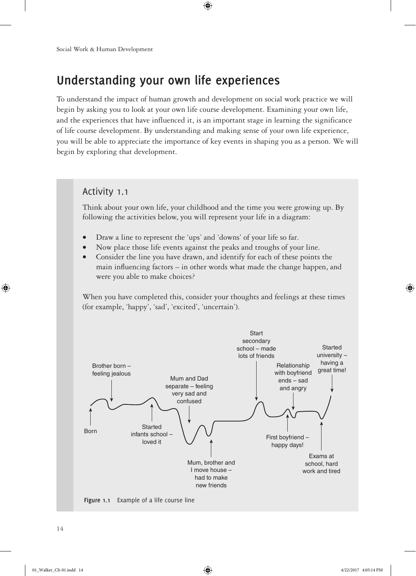# **Understanding your own life experiences**

To understand the impact of human growth and development on social work practice we will begin by asking you to look at your own life course development. Examining your own life, and the experiences that have influenced it, is an important stage in learning the significance of life course development. By understanding and making sense of your own life experience, you will be able to appreciate the importance of key events in shaping you as a person. We will begin by exploring that development.

 $\bigoplus$ 

#### Activity 1.1

Think about your own life, your childhood and the time you were growing up. By following the activities below, you will represent your life in a diagram:

- Draw a line to represent the 'ups' and 'downs' of your life so far.
- Now place those life events against the peaks and troughs of your line.
- Consider the line you have drawn, and identify for each of these points the main influencing factors – in other words what made the change happen, and were you able to make choices?

When you have completed this, consider your thoughts and feelings at these times (for example, 'happy', 'sad', 'excited', 'uncertain').



⊕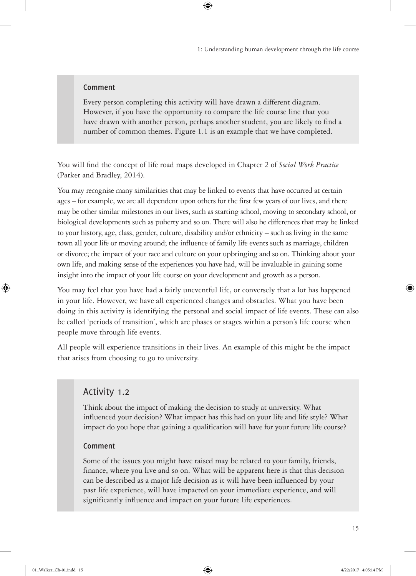#### **Comment**

Every person completing this activity will have drawn a different diagram. However, if you have the opportunity to compare the life course line that you have drawn with another person, perhaps another student, you are likely to find a number of common themes. Figure 1.1 is an example that we have completed.

 $\bigoplus$ 

You will find the concept of life road maps developed in Chapter 2 of *Social Work Practice*  (Parker and Bradley, 2014).

You may recognise many similarities that may be linked to events that have occurred at certain ages – for example, we are all dependent upon others for the first few years of our lives, and there may be other similar milestones in our lives, such as starting school, moving to secondary school, or biological developments such as puberty and so on. There will also be differences that may be linked to your history, age, class, gender, culture, disability and/or ethnicity – such as living in the same town all your life or moving around; the influence of family life events such as marriage, children or divorce; the impact of your race and culture on your upbringing and so on. Thinking about your own life, and making sense of the experiences you have had, will be invaluable in gaining some insight into the impact of your life course on your development and growth as a person.

You may feel that you have had a fairly uneventful life, or conversely that a lot has happened in your life. However, we have all experienced changes and obstacles. What you have been doing in this activity is identifying the personal and social impact of life events. These can also be called 'periods of transition', which are phases or stages within a person's life course when people move through life events.

All people will experience transitions in their lives. An example of this might be the impact that arises from choosing to go to university.

#### Activity 1.2

Think about the impact of making the decision to study at university. What influenced your decision? What impact has this had on your life and life style? What impact do you hope that gaining a qualification will have for your future life course?

#### **Comment**

Some of the issues you might have raised may be related to your family, friends, finance, where you live and so on. What will be apparent here is that this decision can be described as a major life decision as it will have been influenced by your past life experience, will have impacted on your immediate experience, and will significantly influence and impact on your future life experiences.

⊕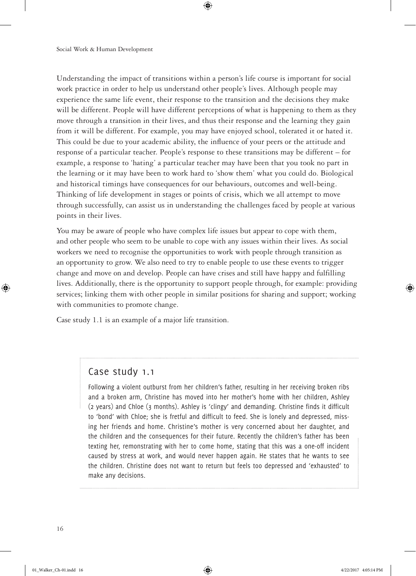Understanding the impact of transitions within a person's life course is important for social work practice in order to help us understand other people's lives. Although people may experience the same life event, their response to the transition and the decisions they make will be different. People will have different perceptions of what is happening to them as they move through a transition in their lives, and thus their response and the learning they gain from it will be different. For example, you may have enjoyed school, tolerated it or hated it. This could be due to your academic ability, the influence of your peers or the attitude and response of a particular teacher. People's response to these transitions may be different – for example, a response to 'hating' a particular teacher may have been that you took no part in the learning or it may have been to work hard to 'show them' what you could do. Biological and historical timings have consequences for our behaviours, outcomes and well-being. Thinking of life development in stages or points of crisis, which we all attempt to move through successfully, can assist us in understanding the challenges faced by people at various points in their lives.

⊕

You may be aware of people who have complex life issues but appear to cope with them, and other people who seem to be unable to cope with any issues within their lives. As social workers we need to recognise the opportunities to work with people through transition as an opportunity to grow. We also need to try to enable people to use these events to trigger change and move on and develop. People can have crises and still have happy and fulfilling lives. Additionally, there is the opportunity to support people through, for example: providing services; linking them with other people in similar positions for sharing and support; working with communities to promote change.

Case study 1.1 is an example of a major life transition.

#### Case study 1.1

Following a violent outburst from her children's father, resulting in her receiving broken ribs and a broken arm, Christine has moved into her mother's home with her children, Ashley (2 years) and Chloe (3 months). Ashley is 'clingy' and demanding. Christine finds it difficult to 'bond' with Chloe; she is fretful and difficult to feed. She is lonely and depressed, missing her friends and home. Christine's mother is very concerned about her daughter, and the children and the consequences for their future. Recently the children's father has been texting her, remonstrating with her to come home, stating that this was a one-off incident caused by stress at work, and would never happen again. He states that he wants to see the children. Christine does not want to return but feels too depressed and 'exhausted' to make any decisions.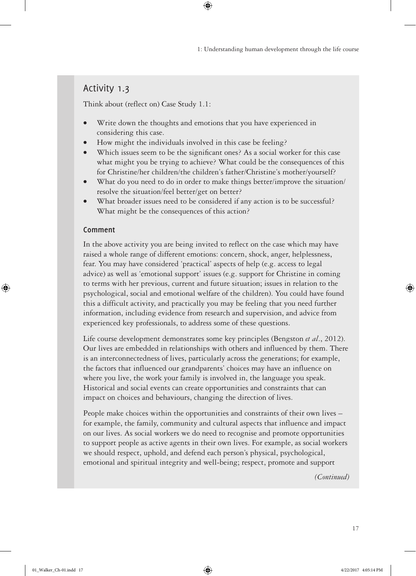#### Activity 1.3

Think about (reflect on) Case Study 1.1:

Write down the thoughts and emotions that you have experienced in considering this case.

 $\bigcirc$ 

- How might the individuals involved in this case be feeling?
- Which issues seem to be the significant ones? As a social worker for this case what might you be trying to achieve? What could be the consequences of this for Christine/her children/the children's father/Christine's mother/yourself?
- What do you need to do in order to make things better/improve the situation/ resolve the situation/feel better/get on better?
- What broader issues need to be considered if any action is to be successful? What might be the consequences of this action?

#### **Comment**

⊕

In the above activity you are being invited to reflect on the case which may have raised a whole range of different emotions: concern, shock, anger, helplessness, fear. You may have considered 'practical' aspects of help (e.g. access to legal advice) as well as 'emotional support' issues (e.g. support for Christine in coming to terms with her previous, current and future situation; issues in relation to the psychological, social and emotional welfare of the children). You could have found this a difficult activity, and practically you may be feeling that you need further information, including evidence from research and supervision, and advice from experienced key professionals, to address some of these questions.

Life course development demonstrates some key principles (Bengston *et al*., 2012). Our lives are embedded in relationships with others and influenced by them. There is an interconnectedness of lives, particularly across the generations; for example, the factors that influenced our grandparents' choices may have an influence on where you live, the work your family is involved in, the language you speak. Historical and social events can create opportunities and constraints that can impact on choices and behaviours, changing the direction of lives.

People make choices within the opportunities and constraints of their own lives – for example, the family, community and cultural aspects that influence and impact on our lives. As social workers we do need to recognise and promote opportunities to support people as active agents in their own lives. For example, as social workers we should respect, uphold, and defend each person's physical, psychological, emotional and spiritual integrity and well-being; respect, promote and support

*(Continued)*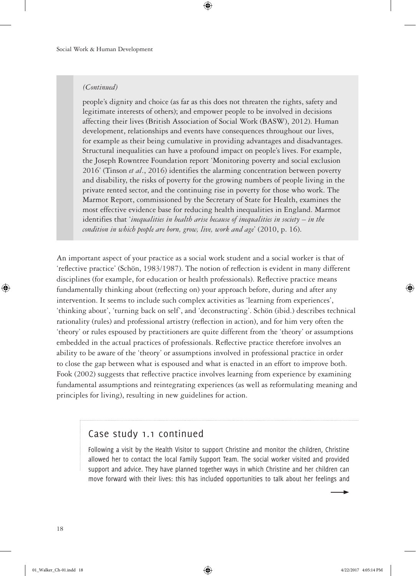#### *(Continued)*

people's dignity and choice (as far as this does not threaten the rights, safety and legitimate interests of others); and empower people to be involved in decisions affecting their lives (British Association of Social Work (BASW), 2012). Human development, relationships and events have consequences throughout our lives, for example as their being cumulative in providing advantages and disadvantages. Structural inequalities can have a profound impact on people's lives. For example, the Joseph Rowntree Foundation report 'Monitoring poverty and social exclusion 2016' (Tinson *et al*., 2016) identifies the alarming concentration between poverty and disability, the risks of poverty for the growing numbers of people living in the private rented sector, and the continuing rise in poverty for those who work. The Marmot Report, commissioned by the Secretary of State for Health, examines the most effective evidence base for reducing health inequalities in England. Marmot identifies that '*inequalities in health arise because of inequalities in society – in the condition in which people are born, grow, live, work and age*' (2010, p. 16).

⊕

An important aspect of your practice as a social work student and a social worker is that of 'reflective practice' (Schön, 1983/1987). The notion of reflection is evident in many different disciplines (for example, for education or health professionals). Reflective practice means fundamentally thinking about (reflecting on) your approach before, during and after any intervention. It seems to include such complex activities as 'learning from experiences', 'thinking about', 'turning back on self', and 'deconstructing'. Schön (ibid.) describes technical rationality (rules) and professional artistry (reflection in action), and for him very often the 'theory' or rules espoused by practitioners are quite different from the 'theory' or assumptions embedded in the actual practices of professionals. Reflective practice therefore involves an ability to be aware of the 'theory' or assumptions involved in professional practice in order to close the gap between what is espoused and what is enacted in an effort to improve both. Fook (2002) suggests that reflective practice involves learning from experience by examining fundamental assumptions and reintegrating experiences (as well as reformulating meaning and principles for living), resulting in new guidelines for action.

#### Case study 1.1 continued

Following a visit by the Health Visitor to support Christine and monitor the children, Christine allowed her to contact the local Family Support Team. The social worker visited and provided support and advice. They have planned together ways in which Christine and her children can move forward with their lives: this has included opportunities to talk about her feelings and

⊕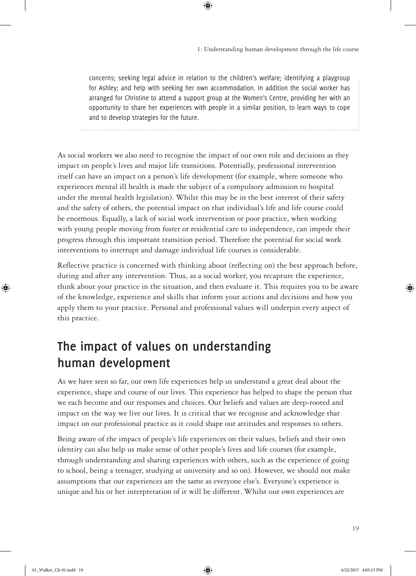concerns; seeking legal advice in relation to the children's welfare; identifying a playgroup for Ashley; and help with seeking her own accommodation. In addition the social worker has arranged for Christine to attend a support group at the Women's Centre, providing her with an opportunity to share her experiences with people in a similar position, to learn ways to cope and to develop strategies for the future.

 $\bigoplus$ 

As social workers we also need to recognise the impact of our own role and decisions as they impact on people's lives and major life transitions. Potentially, professional intervention itself can have an impact on a person's life development (for example, where someone who experiences mental ill health is made the subject of a compulsory admission to hospital under the mental health legislation). Whilst this may be in the best interest of their safety and the safety of others, the potential impact on that individual's life and life course could be enormous. Equally, a lack of social work intervention or poor practice, when working with young people moving from foster or residential care to independence, can impede their progress through this important transition period. Therefore the potential for social work interventions to interrupt and damage individual life courses is considerable.

Reflective practice is concerned with thinking about (reflecting on) the best approach before, during and after any intervention. Thus, as a social worker, you recapture the experience, think about your practice in the situation, and then evaluate it. This requires you to be aware of the knowledge, experience and skills that inform your actions and decisions and how you apply them to your practice. Personal and professional values will underpin every aspect of this practice.

# **The impact of values on understanding human development**

As we have seen so far, our own life experiences help us understand a great deal about the experience, shape and course of our lives. This experience has helped to shape the person that we each become and our responses and choices. Our beliefs and values are deep-rooted and impact on the way we live our lives. It is critical that we recognise and acknowledge that impact on our professional practice as it could shape our attitudes and responses to others.

Being aware of the impact of people's life experiences on their values, beliefs and their own identity can also help us make sense of other people's lives and life courses (for example, through understanding and sharing experiences with others, such as the experience of going to school, being a teenager, studying at university and so on). However, we should not make assumptions that our experiences are the same as everyone else's. Everyone's experience is unique and his or her interpretation of it will be different. Whilst our own experiences are

⊕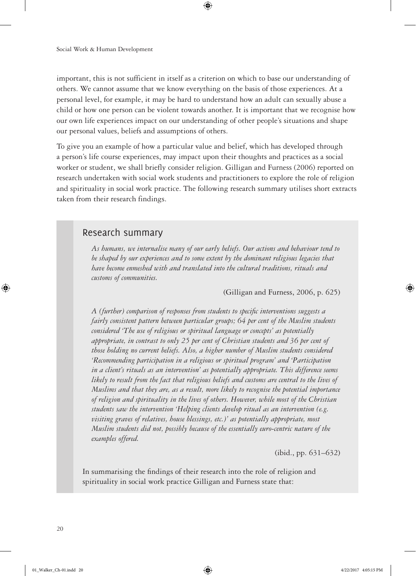important, this is not sufficient in itself as a criterion on which to base our understanding of others. We cannot assume that we know everything on the basis of those experiences. At a personal level, for example, it may be hard to understand how an adult can sexually abuse a child or how one person can be violent towards another. It is important that we recognise how our own life experiences impact on our understanding of other people's situations and shape our personal values, beliefs and assumptions of others.

 $\bigcirc$ 

To give you an example of how a particular value and belief, which has developed through a person's life course experiences, may impact upon their thoughts and practices as a social worker or student, we shall briefly consider religion. Gilligan and Furness (2006) reported on research undertaken with social work students and practitioners to explore the role of religion and spirituality in social work practice. The following research summary utilises short extracts taken from their research findings.

#### Research summary

*As humans, we internalise many of our early beliefs. Our actions and behaviour tend to be shaped by our experiences and to some extent by the dominant religious legacies that have become enmeshed with and translated into the cultural traditions, rituals and customs of communities.*

(Gilligan and Furness, 2006, p. 625)

*A (further) comparison of responses from students to specific interventions suggests a fairly consistent pattern between particular groups; 64 per cent of the Muslim students considered 'The use of religious or spiritual language or concepts' as potentially appropriate, in contrast to only 25 per cent of Christian students and 36 per cent of those holding no current beliefs. Also, a higher number of Muslim students considered 'Recommending participation in a religious or spiritual program' and 'Participation in a client's rituals as an intervention' as potentially appropriate. This difference seems likely to result from the fact that religious beliefs and customs are central to the lives of Muslims and that they are, as a result, more likely to recognise the potential importance of religion and spirituality in the lives of others. However, while most of the Christian students saw the intervention 'Helping clients develop ritual as an intervention (e.g. visiting graves of relatives, house blessings, etc.)' as potentially appropriate, most Muslim students did not, possibly because of the essentially euro-centric nature of the examples offered.*

(ibid., pp. 631–632)

In summarising the findings of their research into the role of religion and spirituality in social work practice Gilligan and Furness state that:

⊕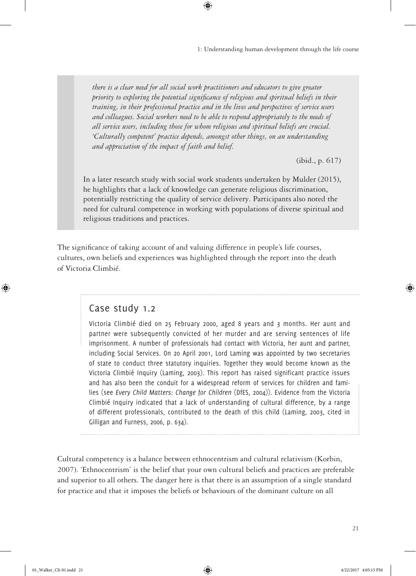*there is a clear need for all social work practitioners and educators to give greater priority to exploring the potential significance of religious and spiritual beliefs in their training, in their professional practice and in the lives and perspectives of service users and colleagues. Social workers need to be able to respond appropriately to the needs of all service users, including those for whom religious and spiritual beliefs are crucial. 'Culturally competent' practice depends, amongst other things, on an understanding and appreciation of the impact of faith and belief.*

 $\bigcirc$ 

(ibid., p. 617)

In a later research study with social work students undertaken by Mulder (2015), he highlights that a lack of knowledge can generate religious discrimination, potentially restricting the quality of service delivery. Participants also noted the need for cultural competence in working with populations of diverse spiritual and religious traditions and practices.

The significance of taking account of and valuing difference in people's life courses, cultures, own beliefs and experiences was highlighted through the report into the death of Victoria Climbié.

#### Case study 1.2

Victoria Climbié died on 25 February 2000, aged 8 years and 3 months. Her aunt and partner were subsequently convicted of her murder and are serving sentences of life imprisonment. A number of professionals had contact with Victoria, her aunt and partner, including Social Services. On 20 April 2001, Lord Laming was appointed by two secretaries of state to conduct three statutory inquiries. Together they would become known as the Victoria Climbié Inquiry (Laming, 2003). This report has raised significant practice issues and has also been the conduit for a widespread reform of services for children and families (see *Every Child Matters: Change for Children* (DfES, 2004)). Evidence from the Victoria Climbié Inquiry indicated that a lack of understanding of cultural difference, by a range of different professionals, contributed to the death of this child (Laming, 2003, cited in Gilligan and Furness, 2006, p. 634).

Cultural competency is a balance between ethnocentrism and cultural relativism (Korbin, 2007). 'Ethnocentrism' is the belief that your own cultural beliefs and practices are preferable and superior to all others. The danger here is that there is an assumption of a single standard for practice and that it imposes the beliefs or behaviours of the dominant culture on all

⊕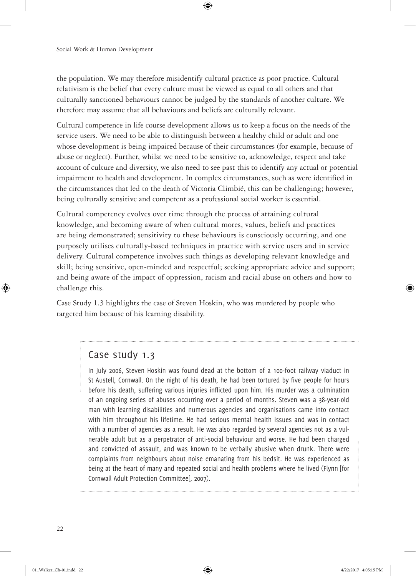the population. We may therefore misidentify cultural practice as poor practice. Cultural relativism is the belief that every culture must be viewed as equal to all others and that culturally sanctioned behaviours cannot be judged by the standards of another culture. We therefore may assume that all behaviours and beliefs are culturally relevant.

 $\bigcirc$ 

Cultural competence in life course development allows us to keep a focus on the needs of the service users. We need to be able to distinguish between a healthy child or adult and one whose development is being impaired because of their circumstances (for example, because of abuse or neglect). Further, whilst we need to be sensitive to, acknowledge, respect and take account of culture and diversity, we also need to see past this to identify any actual or potential impairment to health and development. In complex circumstances, such as were identified in the circumstances that led to the death of Victoria Climbié, this can be challenging; however, being culturally sensitive and competent as a professional social worker is essential.

Cultural competency evolves over time through the process of attaining cultural knowledge, and becoming aware of when cultural mores, values, beliefs and practices are being demonstrated; sensitivity to these behaviours is consciously occurring, and one purposely utilises culturally-based techniques in practice with service users and in service delivery. Cultural competence involves such things as developing relevant knowledge and skill; being sensitive, open-minded and respectful; seeking appropriate advice and support; and being aware of the impact of oppression, racism and racial abuse on others and how to challenge this.

Case Study 1.3 highlights the case of Steven Hoskin, who was murdered by people who targeted him because of his learning disability.

#### Case study 1.3

In July 2006, Steven Hoskin was found dead at the bottom of a 100-foot railway viaduct in St Austell, Cornwall. On the night of his death, he had been tortured by five people for hours before his death, suffering various injuries inflicted upon him. His murder was a culmination of an ongoing series of abuses occurring over a period of months. Steven was a 38-year-old man with learning disabilities and numerous agencies and organisations came into contact with him throughout his lifetime. He had serious mental health issues and was in contact with a number of agencies as a result. He was also regarded by several agencies not as a vulnerable adult but as a perpetrator of anti-social behaviour and worse. He had been charged and convicted of assault, and was known to be verbally abusive when drunk. There were complaints from neighbours about noise emanating from his bedsit. He was experienced as being at the heart of many and repeated social and health problems where he lived (Flynn [for Cornwall Adult Protection Committee], 2007).

⊕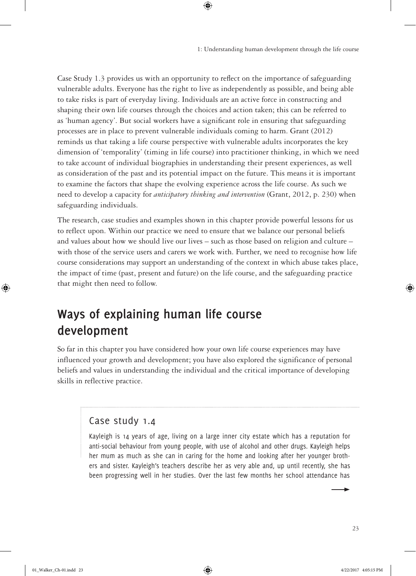Case Study 1.3 provides us with an opportunity to reflect on the importance of safeguarding vulnerable adults. Everyone has the right to live as independently as possible, and being able to take risks is part of everyday living. Individuals are an active force in constructing and shaping their own life courses through the choices and action taken; this can be referred to as 'human agency'. But social workers have a significant role in ensuring that safeguarding processes are in place to prevent vulnerable individuals coming to harm. Grant (2012) reminds us that taking a life course perspective with vulnerable adults incorporates the key dimension of 'temporality' (timing in life course) into practitioner thinking, in which we need to take account of individual biographies in understanding their present experiences, as well as consideration of the past and its potential impact on the future. This means it is important to examine the factors that shape the evolving experience across the life course. As such we need to develop a capacity for *anticipatory thinking and intervention* (Grant, 2012, p. 230) when safeguarding individuals.

 $\bigoplus$ 

The research, case studies and examples shown in this chapter provide powerful lessons for us to reflect upon. Within our practice we need to ensure that we balance our personal beliefs and values about how we should live our lives – such as those based on religion and culture – with those of the service users and carers we work with. Further, we need to recognise how life course considerations may support an understanding of the context in which abuse takes place, the impact of time (past, present and future) on the life course, and the safeguarding practice that might then need to follow.

# **Ways of explaining human life course development**

So far in this chapter you have considered how your own life course experiences may have influenced your growth and development; you have also explored the significance of personal beliefs and values in understanding the individual and the critical importance of developing skills in reflective practice.

#### Case study 1.4

Kayleigh is 14 years of age, living on a large inner city estate which has a reputation for anti-social behaviour from young people, with use of alcohol and other drugs. Kayleigh helps her mum as much as she can in caring for the home and looking after her younger brothers and sister. Kayleigh's teachers describe her as very able and, up until recently, she has been progressing well in her studies. Over the last few months her school attendance has

⊕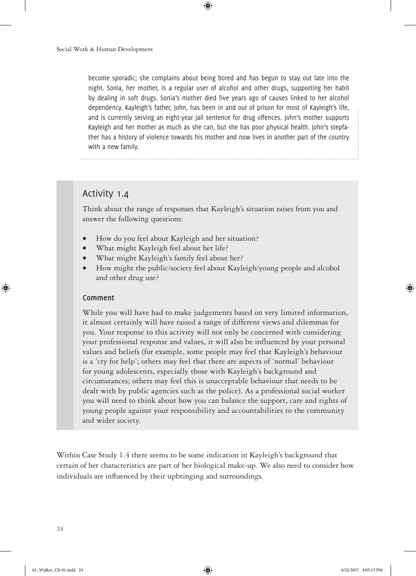become sporadic; she complains about being bored and has begun to stay out late into the night. Sonia, her mother, is a regular user of alcohol and other drugs, supporting her habit by dealing in soft drugs. Sonia's mother died five years ago of causes linked to her alcohol dependency. Kayleigh's father, John, has been in and out of prison for most of Kayleigh's life, and is currently serving an eight-year jail sentence for drug offences. John's mother supports Kayleigh and her mother as much as she can, but she has poor physical health. John's stepfather has a history of violence towards his mother and now lives in another part of the country with a new family.

 $\bigcirc$ 

#### Activity 1.4

Think about the range of responses that Kayleigh's situation raises from you and answer the following questions:

- How do you feel about Kayleigh and her situation?
- What might Kayleigh feel about her life?
- What might Kayleigh's family feel about her?
- How might the public/society feel about Kayleigh/young people and alcohol and other drug use?

#### **Comment**

⊕

While you will have had to make judgements based on very limited information, it almost certainly will have raised a range of different views and dilemmas for you. Your response to this activity will not only be concerned with considering your professional response and values, it will also be influenced by your personal values and beliefs (for example, some people may feel that Kayleigh's behaviour is a 'cry for help'; others may feel that there are aspects of 'normal' behaviour for young adolescents, especially those with Kayleigh's background and circumstances; others may feel this is unacceptable behaviour that needs to be dealt with by public agencies such as the police). As a professional social worker you will need to think about how you can balance the support, care and rights of young people against your responsibility and accountabilities to the community and wider society.

Within Case Study 1.4 there seems to be some indication in Kayleigh's background that certain of her characteristics are part of her biological make-up. We also need to consider how individuals are influenced by their upbringing and surroundings.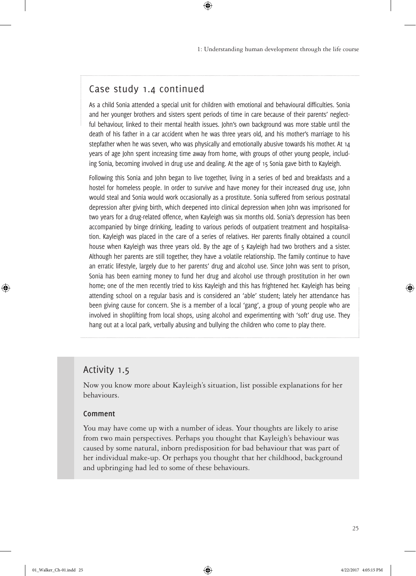#### Case study 1.4 continued

As a child Sonia attended a special unit for children with emotional and behavioural difficulties. Sonia and her younger brothers and sisters spent periods of time in care because of their parents' neglectful behaviour, linked to their mental health issues. John's own background was more stable until the death of his father in a car accident when he was three years old, and his mother's marriage to his stepfather when he was seven, who was physically and emotionally abusive towards his mother. At 14 years of age John spent increasing time away from home, with groups of other young people, including Sonia, becoming involved in drug use and dealing. At the age of 15 Sonia gave birth to Kayleigh.

 $\bigoplus$ 

Following this Sonia and John began to live together, living in a series of bed and breakfasts and a hostel for homeless people. In order to survive and have money for their increased drug use, John would steal and Sonia would work occasionally as a prostitute. Sonia suffered from serious postnatal depression after giving birth, which deepened into clinical depression when John was imprisoned for two years for a drug-related offence, when Kayleigh was six months old. Sonia's depression has been accompanied by binge drinking, leading to various periods of outpatient treatment and hospitalisation. Kayleigh was placed in the care of a series of relatives. Her parents finally obtained a council house when Kayleigh was three years old. By the age of 5 Kayleigh had two brothers and a sister. Although her parents are still together, they have a volatile relationship. The family continue to have an erratic lifestyle, largely due to her parents' drug and alcohol use. Since John was sent to prison, Sonia has been earning money to fund her drug and alcohol use through prostitution in her own home; one of the men recently tried to kiss Kayleigh and this has frightened her. Kayleigh has being attending school on a regular basis and is considered an 'able' student; lately her attendance has been giving cause for concern. She is a member of a local 'gang', a group of young people who are involved in shoplifting from local shops, using alcohol and experimenting with 'soft' drug use. They hang out at a local park, verbally abusing and bullying the children who come to play there.

#### Activity 1.5

Now you know more about Kayleigh's situation, list possible explanations for her behaviours.

#### **Comment**

You may have come up with a number of ideas. Your thoughts are likely to arise from two main perspectives. Perhaps you thought that Kayleigh's behaviour was caused by some natural, inborn predisposition for bad behaviour that was part of her individual make-up. Or perhaps you thought that her childhood, background and upbringing had led to some of these behaviours.

⊕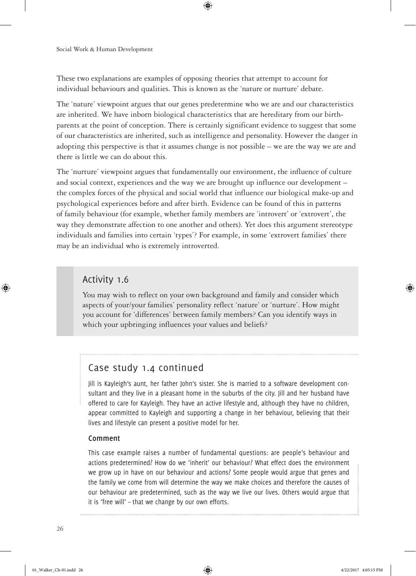These two explanations are examples of opposing theories that attempt to account for individual behaviours and qualities. This is known as the 'nature or nurture' debate.

The 'nature' viewpoint argues that our genes predetermine who we are and our characteristics are inherited. We have inborn biological characteristics that are hereditary from our birthparents at the point of conception. There is certainly significant evidence to suggest that some of our characteristics are inherited, such as intelligence and personality. However the danger in adopting this perspective is that it assumes change is not possible – we are the way we are and there is little we can do about this.

⊕

The 'nurture' viewpoint argues that fundamentally our environment, the influence of culture and social context, experiences and the way we are brought up influence our development – the complex forces of the physical and social world that influence our biological make-up and psychological experiences before and after birth. Evidence can be found of this in patterns of family behaviour (for example, whether family members are 'introvert' or 'extrovert', the way they demonstrate affection to one another and others). Yet does this argument stereotype individuals and families into certain 'types'? For example, in some 'extrovert families' there may be an individual who is extremely introverted.

#### Activity 1.6

⊕

You may wish to reflect on your own background and family and consider which aspects of your/your families' personality reflect 'nature' or 'nurture'. How might you account for 'differences' between family members? Can you identify ways in which your upbringing influences your values and beliefs?

#### Case study 1.4 continued

Jill is Kayleigh's aunt, her father John's sister. She is married to a software development consultant and they live in a pleasant home in the suburbs of the city. Jill and her husband have offered to care for Kayleigh. They have an active lifestyle and, although they have no children, appear committed to Kayleigh and supporting a change in her behaviour, believing that their lives and lifestyle can present a positive model for her.

#### **Comment**

This case example raises a number of fundamental questions: are people's behaviour and actions predetermined? How do we 'inherit' our behaviour? What effect does the environment we grow up in have on our behaviour and actions? Some people would argue that genes and the family we come from will determine the way we make choices and therefore the causes of our behaviour are predetermined, such as the way we live our lives. Others would argue that it is 'free will' – that we change by our own efforts.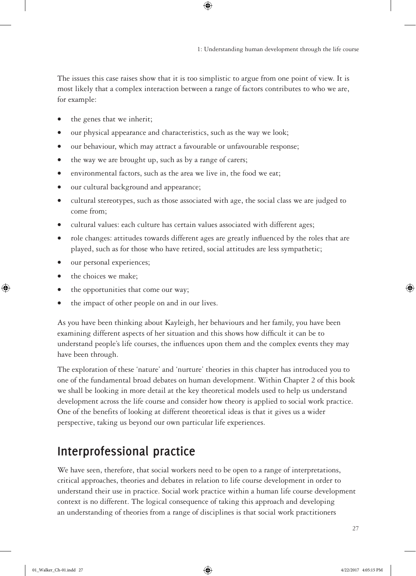The issues this case raises show that it is too simplistic to argue from one point of view. It is most likely that a complex interaction between a range of factors contributes to who we are, for example:

 $\bigcirc$ 

- the genes that we inherit;
- our physical appearance and characteristics, such as the way we look;
- our behaviour, which may attract a favourable or unfavourable response;
- the way we are brought up, such as by a range of carers;
- environmental factors, such as the area we live in, the food we eat;
- our cultural background and appearance;
- cultural stereotypes, such as those associated with age, the social class we are judged to come from;
- cultural values: each culture has certain values associated with different ages;
- role changes: attitudes towards different ages are greatly influenced by the roles that are played, such as for those who have retired, social attitudes are less sympathetic;
- our personal experiences;
- the choices we make:

⊕

- the opportunities that come our way;
- the impact of other people on and in our lives.

As you have been thinking about Kayleigh, her behaviours and her family, you have been examining different aspects of her situation and this shows how difficult it can be to understand people's life courses, the influences upon them and the complex events they may have been through.

The exploration of these 'nature' and 'nurture' theories in this chapter has introduced you to one of the fundamental broad debates on human development. Within Chapter 2 of this book we shall be looking in more detail at the key theoretical models used to help us understand development across the life course and consider how theory is applied to social work practice. One of the benefits of looking at different theoretical ideas is that it gives us a wider perspective, taking us beyond our own particular life experiences.

# **Interprofessional practice**

We have seen, therefore, that social workers need to be open to a range of interpretations, critical approaches, theories and debates in relation to life course development in order to understand their use in practice. Social work practice within a human life course development context is no different. The logical consequence of taking this approach and developing an understanding of theories from a range of disciplines is that social work practitioners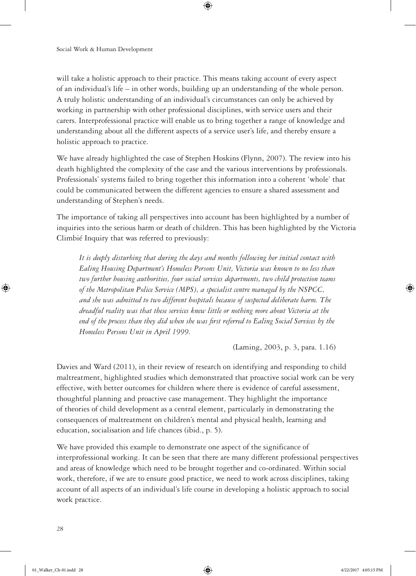will take a holistic approach to their practice. This means taking account of every aspect of an individual's life – in other words, building up an understanding of the whole person. A truly holistic understanding of an individual's circumstances can only be achieved by working in partnership with other professional disciplines, with service users and their carers. Interprofessional practice will enable us to bring together a range of knowledge and understanding about all the different aspects of a service user's life, and thereby ensure a holistic approach to practice.

 $\bigcirc$ 

We have already highlighted the case of Stephen Hoskins (Flynn, 2007). The review into his death highlighted the complexity of the case and the various interventions by professionals. Professionals' systems failed to bring together this information into a coherent 'whole' that could be communicated between the different agencies to ensure a shared assessment and understanding of Stephen's needs.

The importance of taking all perspectives into account has been highlighted by a number of inquiries into the serious harm or death of children. This has been highlighted by the Victoria Climbié Inquiry that was referred to previously:

*It is deeply disturbing that during the days and months following her initial contact with Ealing Housing Department's Homeless Persons Unit, Victoria was known to no less than two further housing authorities, four social services departments, two child protection teams of the Metropolitan Police Service (MPS), a specialist centre managed by the NSPCC, and she was admitted to two different hospitals because of suspected deliberate harm. The dreadful reality was that these services knew little or nothing more about Victoria at the end of the process than they did when she was first referred to Ealing Social Services by the Homeless Persons Unit in April 1999.*

(Laming, 2003, p. 3, para. 1.16)

Davies and Ward (2011), in their review of research on identifying and responding to child maltreatment, highlighted studies which demonstrated that proactive social work can be very effective, with better outcomes for children where there is evidence of careful assessment, thoughtful planning and proactive case management. They highlight the importance of theories of child development as a central element, particularly in demonstrating the consequences of maltreatment on children's mental and physical health, learning and education, socialisation and life chances (ibid., p. 5).

We have provided this example to demonstrate one aspect of the significance of interprofessional working. It can be seen that there are many different professional perspectives and areas of knowledge which need to be brought together and co-ordinated. Within social work, therefore, if we are to ensure good practice, we need to work across disciplines, taking account of all aspects of an individual's life course in developing a holistic approach to social work practice.

⊕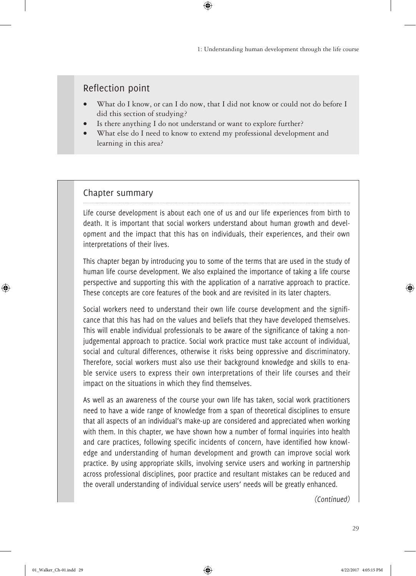#### Reflection point

- What do I know, or can I do now, that I did not know or could not do before I did this section of studying?
- Is there anything I do not understand or want to explore further?
- What else do I need to know to extend my professional development and learning in this area?

 $\bigoplus$ 

#### Chapter summary

Life course development is about each one of us and our life experiences from birth to death. It is important that social workers understand about human growth and development and the impact that this has on individuals, their experiences, and their own interpretations of their lives.

This chapter began by introducing you to some of the terms that are used in the study of human life course development. We also explained the importance of taking a life course perspective and supporting this with the application of a narrative approach to practice. These concepts are core features of the book and are revisited in its later chapters.

Social workers need to understand their own life course development and the significance that this has had on the values and beliefs that they have developed themselves. This will enable individual professionals to be aware of the significance of taking a nonjudgemental approach to practice. Social work practice must take account of individual, social and cultural differences, otherwise it risks being oppressive and discriminatory. Therefore, social workers must also use their background knowledge and skills to enable service users to express their own interpretations of their life courses and their impact on the situations in which they find themselves.

As well as an awareness of the course your own life has taken, social work practitioners need to have a wide range of knowledge from a span of theoretical disciplines to ensure that all aspects of an individual's make-up are considered and appreciated when working with them. In this chapter, we have shown how a number of formal inquiries into health and care practices, following specific incidents of concern, have identified how knowledge and understanding of human development and growth can improve social work practice. By using appropriate skills, involving service users and working in partnership across professional disciplines, poor practice and resultant mistakes can be reduced and the overall understanding of individual service users' needs will be greatly enhanced.

*(Continued)*

⊕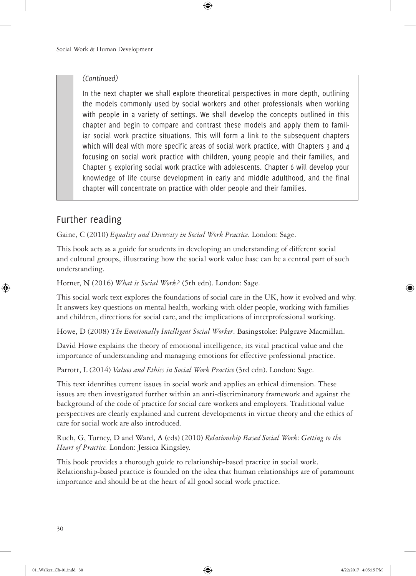#### *(Continued)*

In the next chapter we shall explore theoretical perspectives in more depth, outlining the models commonly used by social workers and other professionals when working with people in a variety of settings. We shall develop the concepts outlined in this chapter and begin to compare and contrast these models and apply them to familiar social work practice situations. This will form a link to the subsequent chapters which will deal with more specific areas of social work practice, with Chapters 3 and 4 focusing on social work practice with children, young people and their families, and Chapter 5 exploring social work practice with adolescents. Chapter 6 will develop your knowledge of life course development in early and middle adulthood, and the final chapter will concentrate on practice with older people and their families.

 $\bigcirc$ 

#### Further reading

⊕

Gaine, C (2010) *Equality and Diversity in Social Work Practice.* London: Sage.

This book acts as a guide for students in developing an understanding of different social and cultural groups, illustrating how the social work value base can be a central part of such understanding.

Horner, N (2016) *What is Social Work?* (5th edn). London: Sage.

This social work text explores the foundations of social care in the UK, how it evolved and why. It answers key questions on mental health, working with older people, working with families and children, directions for social care, and the implications of interprofessional working.

Howe, D (2008) *The Emotionally Intelligent Social Worker*. Basingstoke: Palgrave Macmillan.

David Howe explains the theory of emotional intelligence, its vital practical value and the importance of understanding and managing emotions for effective professional practice.

Parrott, L (2014) *Values and Ethics in Social Work Practice* (3rd edn). London: Sage.

This text identifies current issues in social work and applies an ethical dimension. These issues are then investigated further within an anti-discriminatory framework and against the background of the code of practice for social care workers and employers. Traditional value perspectives are clearly explained and current developments in virtue theory and the ethics of care for social work are also introduced.

Ruch, G, Turney, D and Ward, A (eds) (2010) *Relationship Based Social Work*: *Getting to the Heart of Practice.* London: Jessica Kingsley.

This book provides a thorough guide to relationship-based practice in social work. Relationship-based practice is founded on the idea that human relationships are of paramount importance and should be at the heart of all good social work practice.